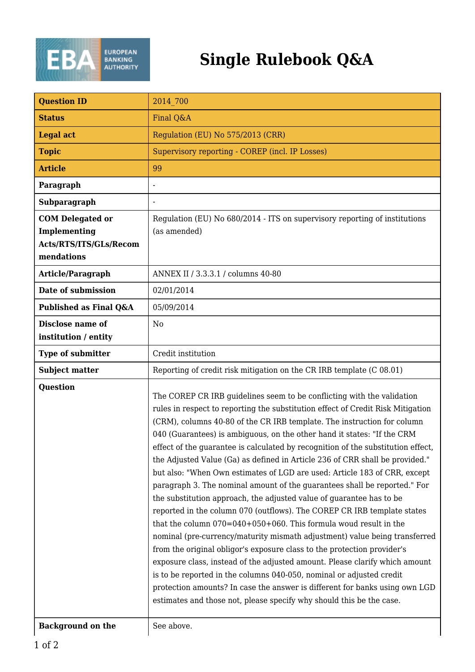

## **Single Rulebook Q&A**

| <b>Question ID</b>                                                              | 2014 700                                                                                                                                                                                                                                                                                                                                                                                                                                                                                                                                                                                                                                                                                                                                                                                                                                                                                                                                                                                                                                                                                                                                                                                                                                                                                                                                       |
|---------------------------------------------------------------------------------|------------------------------------------------------------------------------------------------------------------------------------------------------------------------------------------------------------------------------------------------------------------------------------------------------------------------------------------------------------------------------------------------------------------------------------------------------------------------------------------------------------------------------------------------------------------------------------------------------------------------------------------------------------------------------------------------------------------------------------------------------------------------------------------------------------------------------------------------------------------------------------------------------------------------------------------------------------------------------------------------------------------------------------------------------------------------------------------------------------------------------------------------------------------------------------------------------------------------------------------------------------------------------------------------------------------------------------------------|
| <b>Status</b>                                                                   | Final Q&A                                                                                                                                                                                                                                                                                                                                                                                                                                                                                                                                                                                                                                                                                                                                                                                                                                                                                                                                                                                                                                                                                                                                                                                                                                                                                                                                      |
| <b>Legal act</b>                                                                | Regulation (EU) No 575/2013 (CRR)                                                                                                                                                                                                                                                                                                                                                                                                                                                                                                                                                                                                                                                                                                                                                                                                                                                                                                                                                                                                                                                                                                                                                                                                                                                                                                              |
| <b>Topic</b>                                                                    | Supervisory reporting - COREP (incl. IP Losses)                                                                                                                                                                                                                                                                                                                                                                                                                                                                                                                                                                                                                                                                                                                                                                                                                                                                                                                                                                                                                                                                                                                                                                                                                                                                                                |
| <b>Article</b>                                                                  | 99                                                                                                                                                                                                                                                                                                                                                                                                                                                                                                                                                                                                                                                                                                                                                                                                                                                                                                                                                                                                                                                                                                                                                                                                                                                                                                                                             |
| Paragraph                                                                       |                                                                                                                                                                                                                                                                                                                                                                                                                                                                                                                                                                                                                                                                                                                                                                                                                                                                                                                                                                                                                                                                                                                                                                                                                                                                                                                                                |
| <b>Subparagraph</b>                                                             |                                                                                                                                                                                                                                                                                                                                                                                                                                                                                                                                                                                                                                                                                                                                                                                                                                                                                                                                                                                                                                                                                                                                                                                                                                                                                                                                                |
| <b>COM Delegated or</b><br>Implementing<br>Acts/RTS/ITS/GLs/Recom<br>mendations | Regulation (EU) No 680/2014 - ITS on supervisory reporting of institutions<br>(as amended)                                                                                                                                                                                                                                                                                                                                                                                                                                                                                                                                                                                                                                                                                                                                                                                                                                                                                                                                                                                                                                                                                                                                                                                                                                                     |
| Article/Paragraph                                                               | ANNEX II / 3.3.3.1 / columns 40-80                                                                                                                                                                                                                                                                                                                                                                                                                                                                                                                                                                                                                                                                                                                                                                                                                                                                                                                                                                                                                                                                                                                                                                                                                                                                                                             |
| Date of submission                                                              | 02/01/2014                                                                                                                                                                                                                                                                                                                                                                                                                                                                                                                                                                                                                                                                                                                                                                                                                                                                                                                                                                                                                                                                                                                                                                                                                                                                                                                                     |
| Published as Final Q&A                                                          | 05/09/2014                                                                                                                                                                                                                                                                                                                                                                                                                                                                                                                                                                                                                                                                                                                                                                                                                                                                                                                                                                                                                                                                                                                                                                                                                                                                                                                                     |
| Disclose name of<br>institution / entity                                        | N <sub>0</sub>                                                                                                                                                                                                                                                                                                                                                                                                                                                                                                                                                                                                                                                                                                                                                                                                                                                                                                                                                                                                                                                                                                                                                                                                                                                                                                                                 |
| <b>Type of submitter</b>                                                        | Credit institution                                                                                                                                                                                                                                                                                                                                                                                                                                                                                                                                                                                                                                                                                                                                                                                                                                                                                                                                                                                                                                                                                                                                                                                                                                                                                                                             |
|                                                                                 |                                                                                                                                                                                                                                                                                                                                                                                                                                                                                                                                                                                                                                                                                                                                                                                                                                                                                                                                                                                                                                                                                                                                                                                                                                                                                                                                                |
| <b>Subject matter</b>                                                           | Reporting of credit risk mitigation on the CR IRB template (C 08.01)                                                                                                                                                                                                                                                                                                                                                                                                                                                                                                                                                                                                                                                                                                                                                                                                                                                                                                                                                                                                                                                                                                                                                                                                                                                                           |
| <b>Question</b>                                                                 | The COREP CR IRB guidelines seem to be conflicting with the validation<br>rules in respect to reporting the substitution effect of Credit Risk Mitigation<br>(CRM), columns 40-80 of the CR IRB template. The instruction for column<br>040 (Guarantees) is ambiguous, on the other hand it states: "If the CRM<br>effect of the guarantee is calculated by recognition of the substitution effect,<br>the Adjusted Value (Ga) as defined in Article 236 of CRR shall be provided."<br>but also: "When Own estimates of LGD are used: Article 183 of CRR, except<br>paragraph 3. The nominal amount of the guarantees shall be reported." For<br>the substitution approach, the adjusted value of guarantee has to be<br>reported in the column 070 (outflows). The COREP CR IRB template states<br>that the column $070=040+050+060$ . This formula woud result in the<br>nominal (pre-currency/maturity mismath adjustment) value being transferred<br>from the original obligor's exposure class to the protection provider's<br>exposure class, instead of the adjusted amount. Please clarify which amount<br>is to be reported in the columns 040-050, nominal or adjusted credit<br>protection amounts? In case the answer is different for banks using own LGD<br>estimates and those not, please specify why should this be the case. |